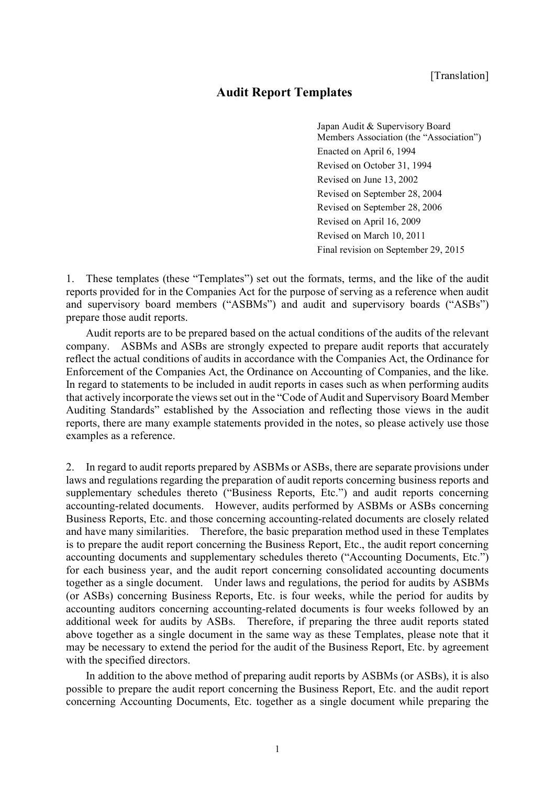# **Audit Report Templates**

Japan Audit & Supervisory Board Members Association (the "Association") Enacted on April 6, 1994 Revised on October 31, 1994 Revised on June 13, 2002 Revised on September 28, 2004 Revised on September 28, 2006 Revised on April 16, 2009 Revised on March 10, 2011 Final revision on September 29, 2015

1. These templates (these "Templates") set out the formats, terms, and the like of the audit reports provided for in the Companies Act for the purpose of serving as a reference when audit and supervisory board members ("ASBMs") and audit and supervisory boards ("ASBs") prepare those audit reports.

Audit reports are to be prepared based on the actual conditions of the audits of the relevant company. ASBMs and ASBs are strongly expected to prepare audit reports that accurately reflect the actual conditions of audits in accordance with the Companies Act, the Ordinance for Enforcement of the Companies Act, the Ordinance on Accounting of Companies, and the like. In regard to statements to be included in audit reports in cases such as when performing audits that actively incorporate the views set out in the "Code of Audit and Supervisory Board Member Auditing Standards" established by the Association and reflecting those views in the audit reports, there are many example statements provided in the notes, so please actively use those examples as a reference.

2. In regard to audit reports prepared by ASBMs or ASBs, there are separate provisions under laws and regulations regarding the preparation of audit reports concerning business reports and supplementary schedules thereto ("Business Reports, Etc.") and audit reports concerning accounting-related documents. However, audits performed by ASBMs or ASBs concerning Business Reports, Etc. and those concerning accounting-related documents are closely related and have many similarities. Therefore, the basic preparation method used in these Templates is to prepare the audit report concerning the Business Report, Etc., the audit report concerning accounting documents and supplementary schedules thereto ("Accounting Documents, Etc.") for each business year, and the audit report concerning consolidated accounting documents together as a single document. Under laws and regulations, the period for audits by ASBMs (or ASBs) concerning Business Reports, Etc. is four weeks, while the period for audits by accounting auditors concerning accounting-related documents is four weeks followed by an additional week for audits by ASBs. Therefore, if preparing the three audit reports stated above together as a single document in the same way as these Templates, please note that it may be necessary to extend the period for the audit of the Business Report, Etc. by agreement with the specified directors.

In addition to the above method of preparing audit reports by ASBMs (or ASBs), it is also possible to prepare the audit report concerning the Business Report, Etc. and the audit report concerning Accounting Documents, Etc. together as a single document while preparing the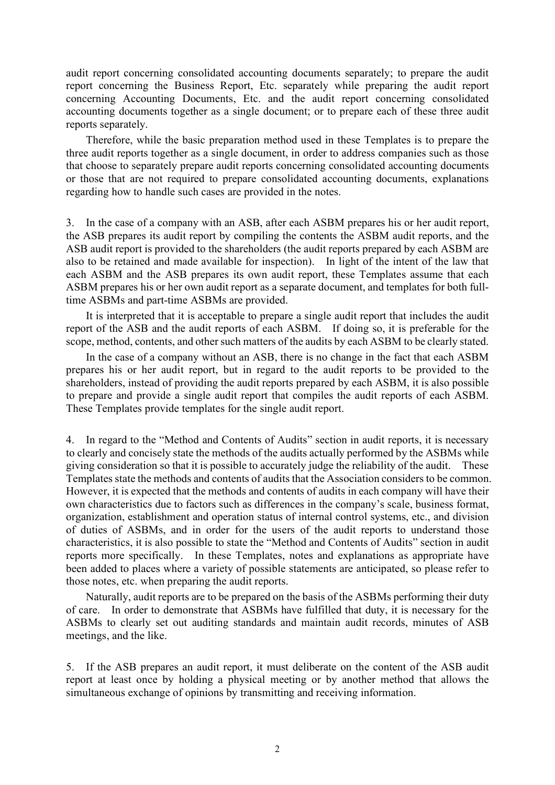audit report concerning consolidated accounting documents separately; to prepare the audit report concerning the Business Report, Etc. separately while preparing the audit report concerning Accounting Documents, Etc. and the audit report concerning consolidated accounting documents together as a single document; or to prepare each of these three audit reports separately.

Therefore, while the basic preparation method used in these Templates is to prepare the three audit reports together as a single document, in order to address companies such as those that choose to separately prepare audit reports concerning consolidated accounting documents or those that are not required to prepare consolidated accounting documents, explanations regarding how to handle such cases are provided in the notes.

3. In the case of a company with an ASB, after each ASBM prepares his or her audit report, the ASB prepares its audit report by compiling the contents the ASBM audit reports, and the ASB audit report is provided to the shareholders (the audit reports prepared by each ASBM are also to be retained and made available for inspection). In light of the intent of the law that each ASBM and the ASB prepares its own audit report, these Templates assume that each ASBM prepares his or her own audit report as a separate document, and templates for both fulltime ASBMs and part-time ASBMs are provided.

It is interpreted that it is acceptable to prepare a single audit report that includes the audit report of the ASB and the audit reports of each ASBM. If doing so, it is preferable for the scope, method, contents, and other such matters of the audits by each ASBM to be clearly stated.

In the case of a company without an ASB, there is no change in the fact that each ASBM prepares his or her audit report, but in regard to the audit reports to be provided to the shareholders, instead of providing the audit reports prepared by each ASBM, it is also possible to prepare and provide a single audit report that compiles the audit reports of each ASBM. These Templates provide templates for the single audit report.

4. In regard to the "Method and Contents of Audits" section in audit reports, it is necessary to clearly and concisely state the methods of the audits actually performed by the ASBMs while giving consideration so that it is possible to accurately judge the reliability of the audit. These Templates state the methods and contents of audits that the Association considers to be common. However, it is expected that the methods and contents of audits in each company will have their own characteristics due to factors such as differences in the company's scale, business format, organization, establishment and operation status of internal control systems, etc., and division of duties of ASBMs, and in order for the users of the audit reports to understand those characteristics, it is also possible to state the "Method and Contents of Audits" section in audit reports more specifically. In these Templates, notes and explanations as appropriate have been added to places where a variety of possible statements are anticipated, so please refer to those notes, etc. when preparing the audit reports.

Naturally, audit reports are to be prepared on the basis of the ASBMs performing their duty of care. In order to demonstrate that ASBMs have fulfilled that duty, it is necessary for the ASBMs to clearly set out auditing standards and maintain audit records, minutes of ASB meetings, and the like.

5. If the ASB prepares an audit report, it must deliberate on the content of the ASB audit report at least once by holding a physical meeting or by another method that allows the simultaneous exchange of opinions by transmitting and receiving information.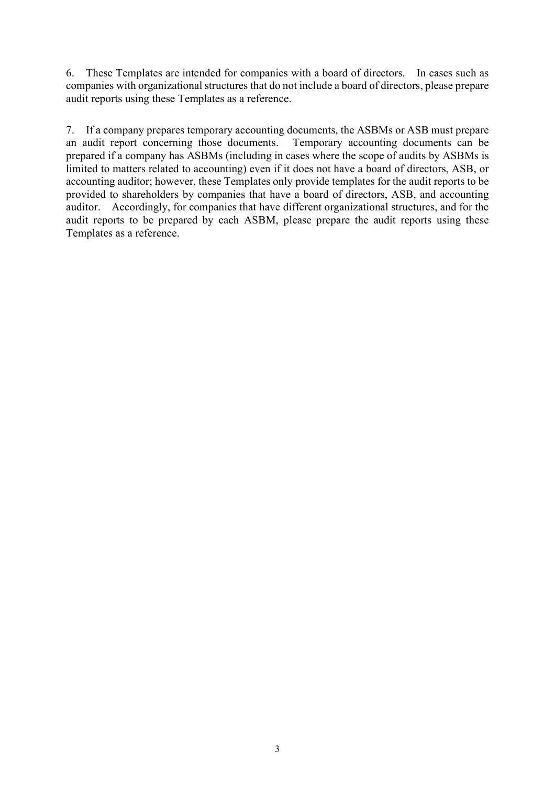6. These Templates are intended for companies with a board of directors. In cases such as companies with organizational structures that do not include a board of directors, please prepare audit reports using these Templates as a reference.

7. If a company prepares temporary accounting documents, the ASBMs or ASB must prepare an audit report concerning those documents. Temporary accounting documents can be prepared if a company has ASBMs (including in cases where the scope of audits by ASBMs is limited to matters related to accounting) even if it does not have a board of directors, ASB, or accounting auditor; however, these Templates only provide templates for the audit reports to be provided to shareholders by companies that have a board of directors, ASB, and accounting auditor. Accordingly, for companies that have different organizational structures, and for the audit reports to be prepared by each ASBM, please prepare the audit reports using these Templates as a reference.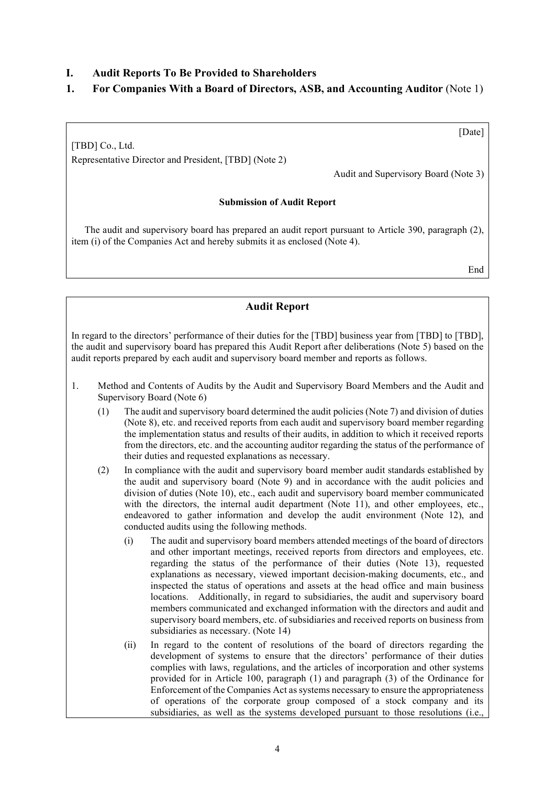## **I. Audit Reports To Be Provided to Shareholders**

# **1. For Companies With a Board of Directors, ASB, and Accounting Auditor** (Note 1)

[TBD] Co., Ltd. Representative Director and President, [TBD] (Note 2)

Audit and Supervisory Board (Note 3)

#### **Submission of Audit Report**

The audit and supervisory board has prepared an audit report pursuant to Article 390, paragraph (2), item (i) of the Companies Act and hereby submits it as enclosed (Note 4).

End

[Date]

### **Audit Report**

In regard to the directors' performance of their duties for the [TBD] business year from [TBD] to [TBD], the audit and supervisory board has prepared this Audit Report after deliberations (Note 5) based on the audit reports prepared by each audit and supervisory board member and reports as follows.

- 1. Method and Contents of Audits by the Audit and Supervisory Board Members and the Audit and Supervisory Board (Note 6)
	- (1) The audit and supervisory board determined the audit policies (Note 7) and division of duties (Note 8), etc. and received reports from each audit and supervisory board member regarding the implementation status and results of their audits, in addition to which it received reports from the directors, etc. and the accounting auditor regarding the status of the performance of their duties and requested explanations as necessary.
	- (2) In compliance with the audit and supervisory board member audit standards established by the audit and supervisory board (Note 9) and in accordance with the audit policies and division of duties (Note 10), etc., each audit and supervisory board member communicated with the directors, the internal audit department (Note 11), and other employees, etc., endeavored to gather information and develop the audit environment (Note 12), and conducted audits using the following methods.
		- (i) The audit and supervisory board members attended meetings of the board of directors and other important meetings, received reports from directors and employees, etc. regarding the status of the performance of their duties (Note 13), requested explanations as necessary, viewed important decision-making documents, etc., and inspected the status of operations and assets at the head office and main business locations. Additionally, in regard to subsidiaries, the audit and supervisory board members communicated and exchanged information with the directors and audit and supervisory board members, etc. of subsidiaries and received reports on business from subsidiaries as necessary. (Note 14)
		- (ii) In regard to the content of resolutions of the board of directors regarding the development of systems to ensure that the directors' performance of their duties complies with laws, regulations, and the articles of incorporation and other systems provided for in Article 100, paragraph (1) and paragraph (3) of the Ordinance for Enforcement of the Companies Act assystems necessary to ensure the appropriateness of operations of the corporate group composed of a stock company and its subsidiaries, as well as the systems developed pursuant to those resolutions (i.e.,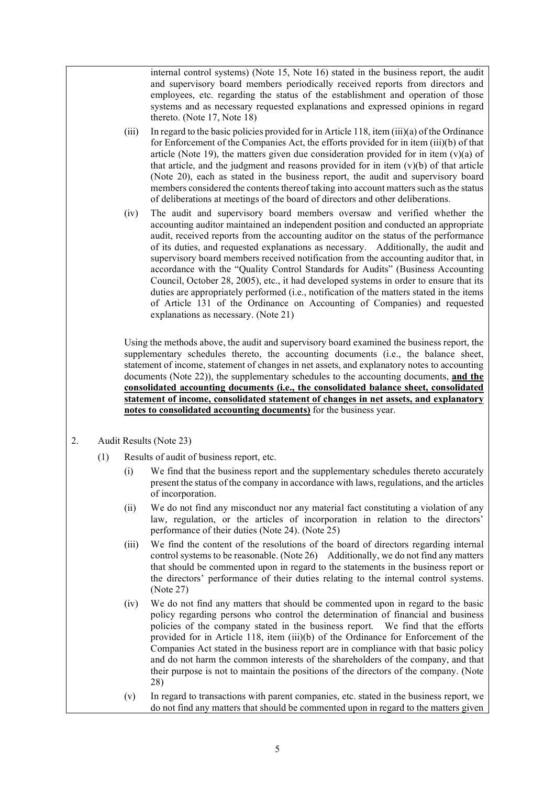internal control systems) (Note 15, Note 16) stated in the business report, the audit and supervisory board members periodically received reports from directors and employees, etc. regarding the status of the establishment and operation of those systems and as necessary requested explanations and expressed opinions in regard thereto. (Note 17, Note 18)

- (iii) In regard to the basic policies provided for in Article 118, item (iii)(a) of the Ordinance for Enforcement of the Companies Act, the efforts provided for in item (iii)(b) of that article (Note 19), the matters given due consideration provided for in item  $(v)(a)$  of that article, and the judgment and reasons provided for in item  $(v)(b)$  of that article (Note 20), each as stated in the business report, the audit and supervisory board members considered the contents thereof taking into account matters such as the status of deliberations at meetings of the board of directors and other deliberations.
- (iv) The audit and supervisory board members oversaw and verified whether the accounting auditor maintained an independent position and conducted an appropriate audit, received reports from the accounting auditor on the status of the performance of its duties, and requested explanations as necessary. Additionally, the audit and supervisory board members received notification from the accounting auditor that, in accordance with the "Quality Control Standards for Audits" (Business Accounting Council, October 28, 2005), etc., it had developed systems in order to ensure that its duties are appropriately performed (i.e., notification of the matters stated in the items of Article 131 of the Ordinance on Accounting of Companies) and requested explanations as necessary. (Note 21)

Using the methods above, the audit and supervisory board examined the business report, the supplementary schedules thereto, the accounting documents (i.e., the balance sheet, statement of income, statement of changes in net assets, and explanatory notes to accounting documents (Note 22)), the supplementary schedules to the accounting documents, **and the consolidated accounting documents (i.e., the consolidated balance sheet, consolidated statement of income, consolidated statement of changes in net assets, and explanatory notes to consolidated accounting documents)** for the business year.

- 2. Audit Results (Note 23)
	- (1) Results of audit of business report, etc.
		- (i) We find that the business report and the supplementary schedules thereto accurately present the status of the company in accordance with laws, regulations, and the articles of incorporation.
		- (ii) We do not find any misconduct nor any material fact constituting a violation of any law, regulation, or the articles of incorporation in relation to the directors' performance of their duties (Note 24). (Note 25)
		- (iii) We find the content of the resolutions of the board of directors regarding internal control systems to be reasonable. (Note 26) Additionally, we do not find any matters that should be commented upon in regard to the statements in the business report or the directors' performance of their duties relating to the internal control systems. (Note 27)
		- (iv) We do not find any matters that should be commented upon in regard to the basic policy regarding persons who control the determination of financial and business policies of the company stated in the business report. We find that the efforts provided for in Article 118, item (iii)(b) of the Ordinance for Enforcement of the Companies Act stated in the business report are in compliance with that basic policy and do not harm the common interests of the shareholders of the company, and that their purpose is not to maintain the positions of the directors of the company. (Note 28)
		- (v) In regard to transactions with parent companies, etc. stated in the business report, we do not find any matters that should be commented upon in regard to the matters given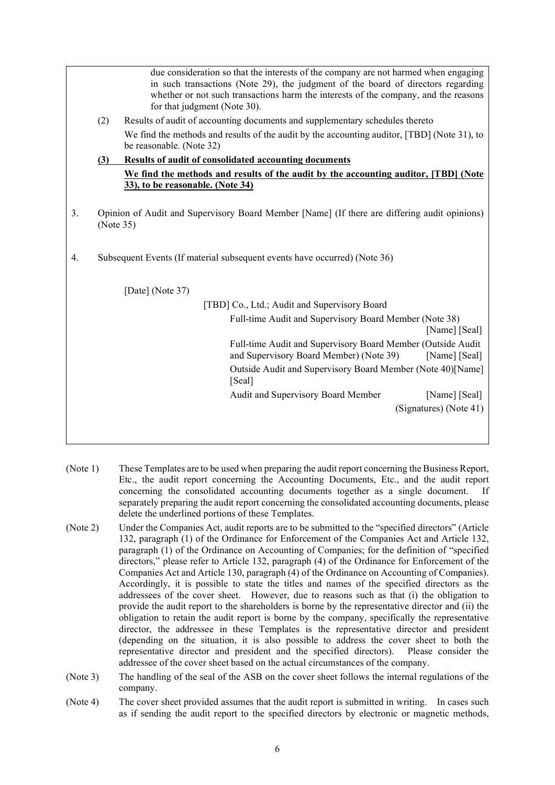due consideration so that the interests of the company are not harmed when engaging in such transactions (Note 29), the judgment of the board of directors regarding whether or not such transactions harm the interests of the company, and the reasons for that judgment (Note 30). (2) Results of audit of accounting documents and supplementary schedules thereto We find the methods and results of the audit by the accounting auditor, [TBD] (Note 31), to be reasonable. (Note 32) **(3) Results of audit of consolidated accounting documents We find the methods and results of the audit by the accounting auditor, [TBD] (Note 33), to be reasonable. (Note 34)** 3. Opinion of Audit and Supervisory Board Member [Name] (If there are differing audit opinions) (Note 35) 4. Subsequent Events (If material subsequent events have occurred) (Note 36) [Date] (Note 37) [TBD] Co., Ltd.; Audit and Supervisory Board Full-time Audit and Supervisory Board Member (Note 38) [Name] [Seal] Full-time Audit and Supervisory Board Member (Outside Audit and Supervisory Board Member) (Note 39) [Name] [Seal] Outside Audit and Supervisory Board Member (Note 40)[Name] [Seal] Audit and Supervisory Board Member [Name] [Seal] (Signatures) (Note 41)

- (Note 1) These Templates are to be used when preparing the audit report concerning the Business Report, Etc., the audit report concerning the Accounting Documents, Etc., and the audit report concerning the consolidated accounting documents together as a single document. If separately preparing the audit report concerning the consolidated accounting documents, please delete the underlined portions of these Templates.
- (Note 2) Under the Companies Act, audit reports are to be submitted to the "specified directors" (Article 132, paragraph (1) of the Ordinance for Enforcement of the Companies Act and Article 132, paragraph (1) of the Ordinance on Accounting of Companies; for the definition of "specified directors," please refer to Article 132, paragraph (4) of the Ordinance for Enforcement of the Companies Act and Article 130, paragraph (4) of the Ordinance on Accounting of Companies). Accordingly, it is possible to state the titles and names of the specified directors as the addressees of the cover sheet. However, due to reasons such as that (i) the obligation to provide the audit report to the shareholders is borne by the representative director and (ii) the obligation to retain the audit report is borne by the company, specifically the representative director, the addressee in these Templates is the representative director and president (depending on the situation, it is also possible to address the cover sheet to both the representative director and president and the specified directors). Please consider the addressee of the cover sheet based on the actual circumstances of the company.
- (Note 3) The handling of the seal of the ASB on the cover sheet follows the internal regulations of the company.
- (Note 4) The cover sheet provided assumes that the audit report is submitted in writing. In cases such as if sending the audit report to the specified directors by electronic or magnetic methods,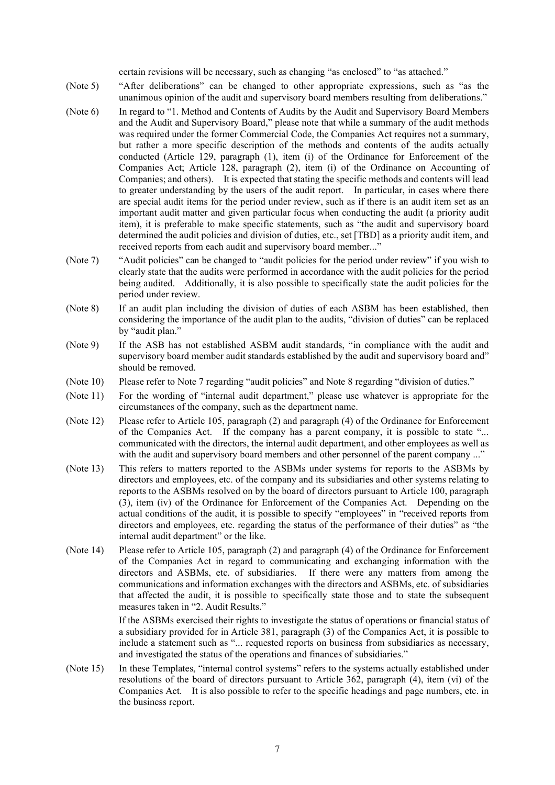certain revisions will be necessary, such as changing "as enclosed" to "as attached."

- (Note 5) "After deliberations" can be changed to other appropriate expressions, such as "as the unanimous opinion of the audit and supervisory board members resulting from deliberations."
- (Note 6) In regard to "1. Method and Contents of Audits by the Audit and Supervisory Board Members and the Audit and Supervisory Board," please note that while a summary of the audit methods was required under the former Commercial Code, the Companies Act requires not a summary, but rather a more specific description of the methods and contents of the audits actually conducted (Article 129, paragraph (1), item (i) of the Ordinance for Enforcement of the Companies Act; Article 128, paragraph (2), item (i) of the Ordinance on Accounting of Companies; and others). It is expected that stating the specific methods and contents will lead to greater understanding by the users of the audit report. In particular, in cases where there are special audit items for the period under review, such as if there is an audit item set as an important audit matter and given particular focus when conducting the audit (a priority audit item), it is preferable to make specific statements, such as "the audit and supervisory board determined the audit policies and division of duties, etc., set [TBD] as a priority audit item, and received reports from each audit and supervisory board member...'
- (Note 7) "Audit policies" can be changed to "audit policies for the period under review" if you wish to clearly state that the audits were performed in accordance with the audit policies for the period being audited. Additionally, it is also possible to specifically state the audit policies for the period under review.
- (Note 8) If an audit plan including the division of duties of each ASBM has been established, then considering the importance of the audit plan to the audits, "division of duties" can be replaced by "audit plan."
- (Note 9) If the ASB has not established ASBM audit standards, "in compliance with the audit and supervisory board member audit standards established by the audit and supervisory board and" should be removed.
- (Note 10) Please refer to Note 7 regarding "audit policies" and Note 8 regarding "division of duties."
- (Note 11) For the wording of "internal audit department," please use whatever is appropriate for the circumstances of the company, such as the department name.
- (Note 12) Please refer to Article 105, paragraph (2) and paragraph (4) of the Ordinance for Enforcement of the Companies Act. If the company has a parent company, it is possible to state "... communicated with the directors, the internal audit department, and other employees as well as with the audit and supervisory board members and other personnel of the parent company ..."
- (Note 13) This refers to matters reported to the ASBMs under systems for reports to the ASBMs by directors and employees, etc. of the company and its subsidiaries and other systems relating to reports to the ASBMs resolved on by the board of directors pursuant to Article 100, paragraph (3), item (iv) of the Ordinance for Enforcement of the Companies Act. Depending on the actual conditions of the audit, it is possible to specify "employees" in "received reports from directors and employees, etc. regarding the status of the performance of their duties" as "the internal audit department" or the like.
- (Note 14) Please refer to Article 105, paragraph (2) and paragraph (4) of the Ordinance for Enforcement of the Companies Act in regard to communicating and exchanging information with the directors and ASBMs, etc. of subsidiaries. If there were any matters from among the communications and information exchanges with the directors and ASBMs, etc. of subsidiaries that affected the audit, it is possible to specifically state those and to state the subsequent measures taken in "2. Audit Results."

If the ASBMs exercised their rights to investigate the status of operations or financial status of a subsidiary provided for in Article 381, paragraph (3) of the Companies Act, it is possible to include a statement such as "... requested reports on business from subsidiaries as necessary, and investigated the status of the operations and finances of subsidiaries."

(Note 15) In these Templates, "internal control systems" refers to the systems actually established under resolutions of the board of directors pursuant to Article 362, paragraph (4), item (vi) of the Companies Act. It is also possible to refer to the specific headings and page numbers, etc. in the business report.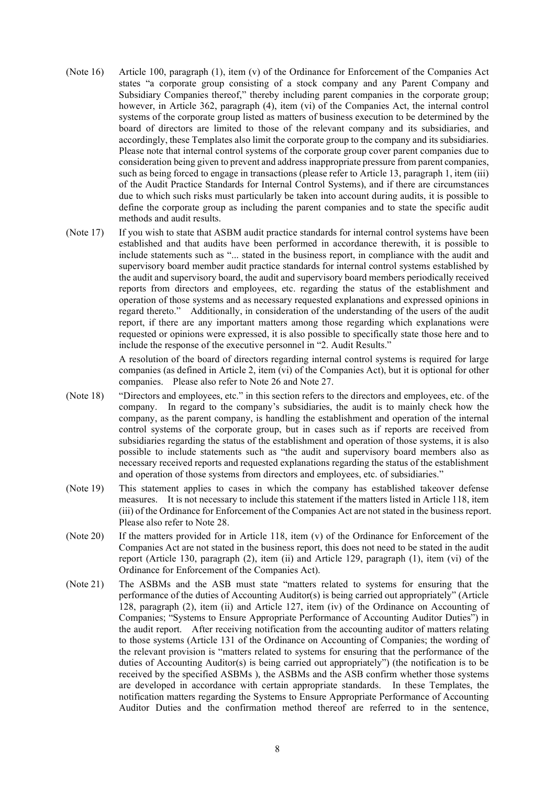- (Note 16) Article 100, paragraph (1), item (v) of the Ordinance for Enforcement of the Companies Act states "a corporate group consisting of a stock company and any Parent Company and Subsidiary Companies thereof," thereby including parent companies in the corporate group; however, in Article 362, paragraph (4), item (vi) of the Companies Act, the internal control systems of the corporate group listed as matters of business execution to be determined by the board of directors are limited to those of the relevant company and its subsidiaries, and accordingly, these Templates also limit the corporate group to the company and its subsidiaries. Please note that internal control systems of the corporate group cover parent companies due to consideration being given to prevent and address inappropriate pressure from parent companies, such as being forced to engage in transactions (please refer to Article 13, paragraph 1, item (iii) of the Audit Practice Standards for Internal Control Systems), and if there are circumstances due to which such risks must particularly be taken into account during audits, it is possible to define the corporate group as including the parent companies and to state the specific audit methods and audit results.
- (Note 17) If you wish to state that ASBM audit practice standards for internal control systems have been established and that audits have been performed in accordance therewith, it is possible to include statements such as "... stated in the business report, in compliance with the audit and supervisory board member audit practice standards for internal control systems established by the audit and supervisory board, the audit and supervisory board members periodically received reports from directors and employees, etc. regarding the status of the establishment and operation of those systems and as necessary requested explanations and expressed opinions in regard thereto." Additionally, in consideration of the understanding of the users of the audit report, if there are any important matters among those regarding which explanations were requested or opinions were expressed, it is also possible to specifically state those here and to include the response of the executive personnel in "2. Audit Results."

A resolution of the board of directors regarding internal control systems is required for large companies (as defined in Article 2, item (vi) of the Companies Act), but it is optional for other companies. Please also refer to Note 26 and Note 27.

- (Note 18) "Directors and employees, etc." in this section refers to the directors and employees, etc. of the company. In regard to the company's subsidiaries, the audit is to mainly check how the company, as the parent company, is handling the establishment and operation of the internal control systems of the corporate group, but in cases such as if reports are received from subsidiaries regarding the status of the establishment and operation of those systems, it is also possible to include statements such as "the audit and supervisory board members also as necessary received reports and requested explanations regarding the status of the establishment and operation of those systems from directors and employees, etc. of subsidiaries."
- (Note 19) This statement applies to cases in which the company has established takeover defense measures. It is not necessary to include this statement if the matters listed in Article 118, item (iii) of the Ordinance for Enforcement of the Companies Act are not stated in the business report. Please also refer to Note 28.
- (Note 20) If the matters provided for in Article 118, item (v) of the Ordinance for Enforcement of the Companies Act are not stated in the business report, this does not need to be stated in the audit report (Article 130, paragraph (2), item (ii) and Article 129, paragraph (1), item (vi) of the Ordinance for Enforcement of the Companies Act).
- (Note 21) The ASBMs and the ASB must state "matters related to systems for ensuring that the performance of the duties of Accounting Auditor(s) is being carried out appropriately" (Article 128, paragraph (2), item (ii) and Article 127, item (iv) of the Ordinance on Accounting of Companies; "Systems to Ensure Appropriate Performance of Accounting Auditor Duties") in the audit report. After receiving notification from the accounting auditor of matters relating to those systems (Article 131 of the Ordinance on Accounting of Companies; the wording of the relevant provision is "matters related to systems for ensuring that the performance of the duties of Accounting Auditor(s) is being carried out appropriately") (the notification is to be received by the specified ASBMs ), the ASBMs and the ASB confirm whether those systems are developed in accordance with certain appropriate standards. In these Templates, the notification matters regarding the Systems to Ensure Appropriate Performance of Accounting Auditor Duties and the confirmation method thereof are referred to in the sentence,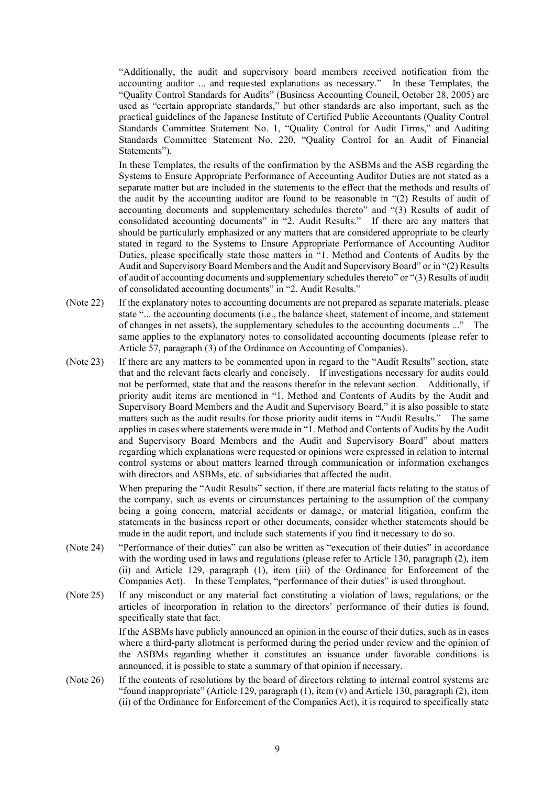"Additionally, the audit and supervisory board members received notification from the accounting auditor ... and requested explanations as necessary." In these Templates, the "Quality Control Standards for Audits" (Business Accounting Council, October 28, 2005) are used as "certain appropriate standards," but other standards are also important, such as the practical guidelines of the Japanese Institute of Certified Public Accountants (Quality Control Standards Committee Statement No. 1, "Quality Control for Audit Firms," and Auditing Standards Committee Statement No. 220, "Quality Control for an Audit of Financial Statements").

In these Templates, the results of the confirmation by the ASBMs and the ASB regarding the Systems to Ensure Appropriate Performance of Accounting Auditor Duties are not stated as a separate matter but are included in the statements to the effect that the methods and results of the audit by the accounting auditor are found to be reasonable in "(2) Results of audit of accounting documents and supplementary schedules thereto" and "(3) Results of audit of consolidated accounting documents" in "2. Audit Results." If there are any matters that should be particularly emphasized or any matters that are considered appropriate to be clearly stated in regard to the Systems to Ensure Appropriate Performance of Accounting Auditor Duties, please specifically state those matters in "1. Method and Contents of Audits by the Audit and Supervisory Board Members and the Audit and Supervisory Board" or in "(2) Results of audit of accounting documents and supplementary schedules thereto" or "(3) Results of audit of consolidated accounting documents" in "2. Audit Results."

- (Note 22) If the explanatory notes to accounting documents are not prepared as separate materials, please state "... the accounting documents (i.e., the balance sheet, statement of income, and statement of changes in net assets), the supplementary schedules to the accounting documents ..." The same applies to the explanatory notes to consolidated accounting documents (please refer to Article 57, paragraph (3) of the Ordinance on Accounting of Companies).
- (Note 23) If there are any matters to be commented upon in regard to the "Audit Results" section, state that and the relevant facts clearly and concisely. If investigations necessary for audits could not be performed, state that and the reasons therefor in the relevant section. Additionally, if priority audit items are mentioned in "1. Method and Contents of Audits by the Audit and Supervisory Board Members and the Audit and Supervisory Board," it is also possible to state matters such as the audit results for those priority audit items in "Audit Results." The same applies in cases where statements were made in "1. Method and Contents of Audits by the Audit and Supervisory Board Members and the Audit and Supervisory Board" about matters regarding which explanations were requested or opinions were expressed in relation to internal control systems or about matters learned through communication or information exchanges with directors and ASBMs, etc. of subsidiaries that affected the audit.

When preparing the "Audit Results" section, if there are material facts relating to the status of the company, such as events or circumstances pertaining to the assumption of the company being a going concern, material accidents or damage, or material litigation, confirm the statements in the business report or other documents, consider whether statements should be made in the audit report, and include such statements if you find it necessary to do so.

- (Note 24) "Performance of their duties" can also be written as "execution of their duties" in accordance with the wording used in laws and regulations (please refer to Article 130, paragraph (2), item (ii) and Article 129, paragraph (1), item (iii) of the Ordinance for Enforcement of the Companies Act). In these Templates, "performance of their duties" is used throughout.
- (Note 25) If any misconduct or any material fact constituting a violation of laws, regulations, or the articles of incorporation in relation to the directors' performance of their duties is found, specifically state that fact.

If the ASBMs have publicly announced an opinion in the course of their duties, such as in cases where a third-party allotment is performed during the period under review and the opinion of the ASBMs regarding whether it constitutes an issuance under favorable conditions is announced, it is possible to state a summary of that opinion if necessary.

(Note 26) If the contents of resolutions by the board of directors relating to internal control systems are "found inappropriate" (Article 129, paragraph (1), item (v) and Article 130, paragraph (2), item (ii) of the Ordinance for Enforcement of the Companies Act), it is required to specifically state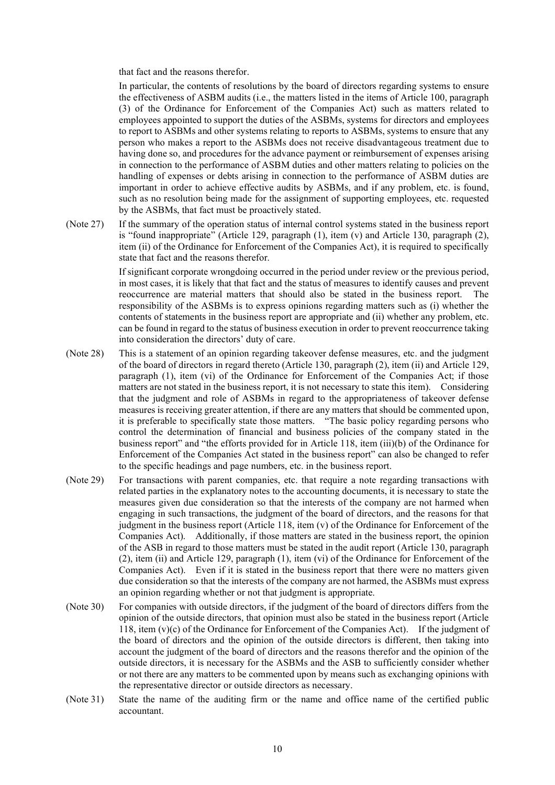that fact and the reasons therefor.

In particular, the contents of resolutions by the board of directors regarding systems to ensure the effectiveness of ASBM audits (i.e., the matters listed in the items of Article 100, paragraph (3) of the Ordinance for Enforcement of the Companies Act) such as matters related to employees appointed to support the duties of the ASBMs, systems for directors and employees to report to ASBMs and other systems relating to reports to ASBMs, systems to ensure that any person who makes a report to the ASBMs does not receive disadvantageous treatment due to having done so, and procedures for the advance payment or reimbursement of expenses arising in connection to the performance of ASBM duties and other matters relating to policies on the handling of expenses or debts arising in connection to the performance of ASBM duties are important in order to achieve effective audits by ASBMs, and if any problem, etc. is found, such as no resolution being made for the assignment of supporting employees, etc. requested by the ASBMs, that fact must be proactively stated.

(Note 27) If the summary of the operation status of internal control systems stated in the business report is "found inappropriate" (Article 129, paragraph (1), item (v) and Article 130, paragraph (2), item (ii) of the Ordinance for Enforcement of the Companies Act), it is required to specifically state that fact and the reasons therefor.

> If significant corporate wrongdoing occurred in the period under review or the previous period, in most cases, it is likely that that fact and the status of measures to identify causes and prevent reoccurrence are material matters that should also be stated in the business report. The responsibility of the ASBMs is to express opinions regarding matters such as (i) whether the contents of statements in the business report are appropriate and (ii) whether any problem, etc. can be found in regard to the status of business execution in order to prevent reoccurrence taking into consideration the directors' duty of care.

- (Note 28) This is a statement of an opinion regarding takeover defense measures, etc. and the judgment of the board of directors in regard thereto (Article 130, paragraph (2), item (ii) and Article 129, paragraph (1), item (vi) of the Ordinance for Enforcement of the Companies Act; if those matters are not stated in the business report, it is not necessary to state this item). Considering that the judgment and role of ASBMs in regard to the appropriateness of takeover defense measures is receiving greater attention, if there are any matters that should be commented upon, it is preferable to specifically state those matters. "The basic policy regarding persons who control the determination of financial and business policies of the company stated in the business report" and "the efforts provided for in Article 118, item (iii)(b) of the Ordinance for Enforcement of the Companies Act stated in the business report" can also be changed to refer to the specific headings and page numbers, etc. in the business report.
- (Note 29) For transactions with parent companies, etc. that require a note regarding transactions with related parties in the explanatory notes to the accounting documents, it is necessary to state the measures given due consideration so that the interests of the company are not harmed when engaging in such transactions, the judgment of the board of directors, and the reasons for that judgment in the business report (Article 118, item (v) of the Ordinance for Enforcement of the Companies Act). Additionally, if those matters are stated in the business report, the opinion of the ASB in regard to those matters must be stated in the audit report (Article 130, paragraph (2), item (ii) and Article 129, paragraph (1), item (vi) of the Ordinance for Enforcement of the Companies Act). Even if it is stated in the business report that there were no matters given due consideration so that the interests of the company are not harmed, the ASBMs must express an opinion regarding whether or not that judgment is appropriate.
- (Note 30) For companies with outside directors, if the judgment of the board of directors differs from the opinion of the outside directors, that opinion must also be stated in the business report (Article 118, item (v)(c) of the Ordinance for Enforcement of the Companies Act). If the judgment of the board of directors and the opinion of the outside directors is different, then taking into account the judgment of the board of directors and the reasons therefor and the opinion of the outside directors, it is necessary for the ASBMs and the ASB to sufficiently consider whether or not there are any matters to be commented upon by means such as exchanging opinions with the representative director or outside directors as necessary.
- (Note 31) State the name of the auditing firm or the name and office name of the certified public accountant.